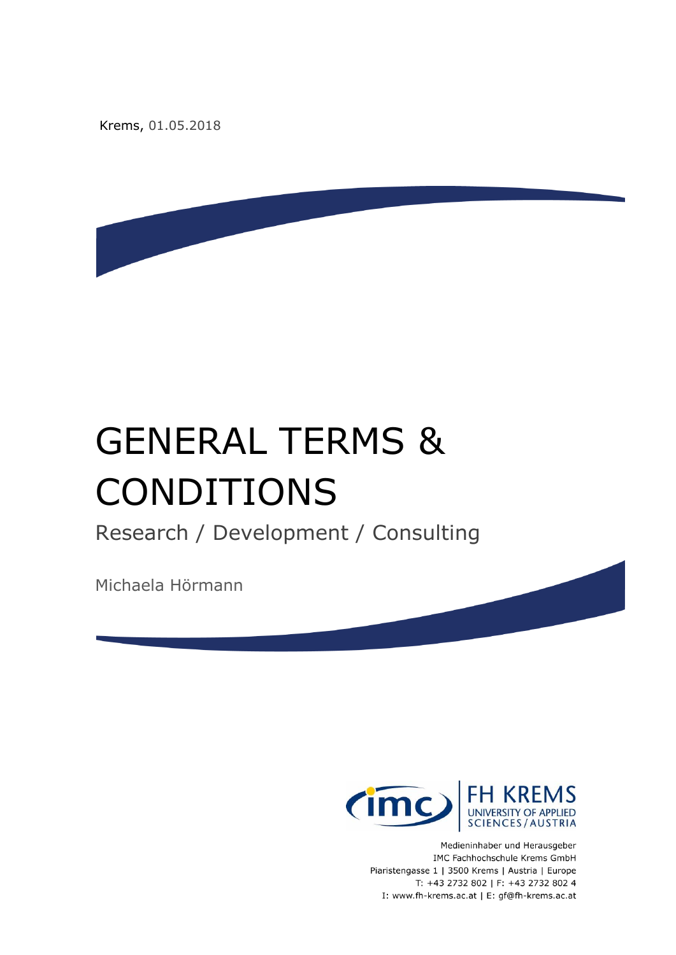Krems, 01.05.2018

# GENERAL TERMS & CONDITIONS

Research / Development / Consulting

Michaela Hörmann



Medieninhaber und Herausgeber IMC Fachhochschule Krems GmbH Piaristengasse 1 | 3500 Krems | Austria | Europe T: +43 2732 802 | F: +43 2732 802 4 I: www.fh-krems.ac.at | E: gf@fh-krems.ac.at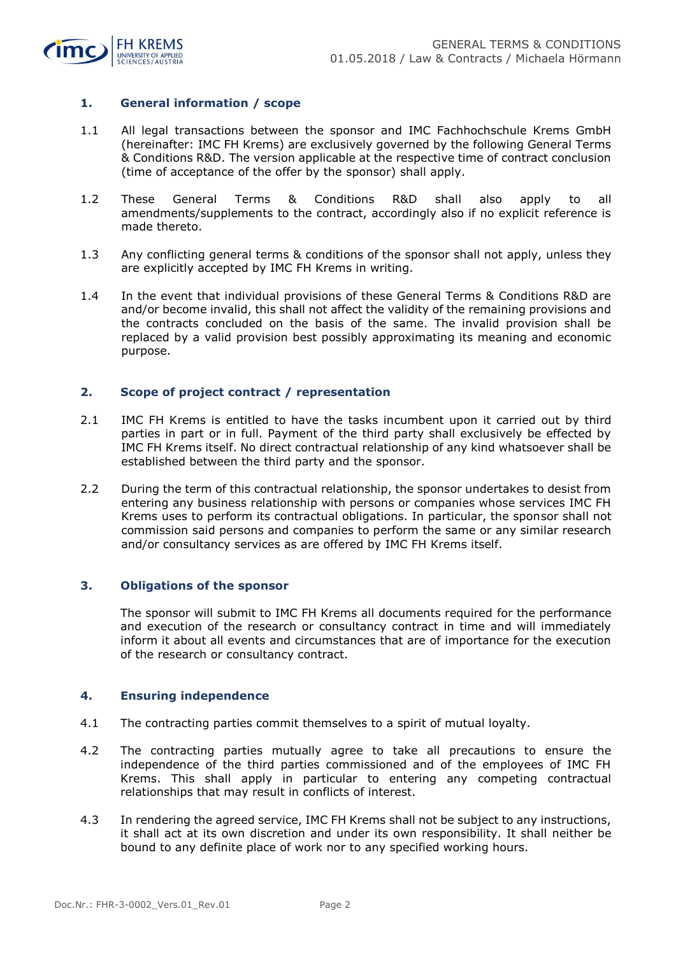

# **1. General information / scope**

- 1.1 All legal transactions between the sponsor and IMC Fachhochschule Krems GmbH (hereinafter: IMC FH Krems) are exclusively governed by the following General Terms & Conditions R&D. The version applicable at the respective time of contract conclusion (time of acceptance of the offer by the sponsor) shall apply.
- 1.2 These General Terms & Conditions R&D shall also apply to all amendments/supplements to the contract, accordingly also if no explicit reference is made thereto.
- 1.3 Any conflicting general terms & conditions of the sponsor shall not apply, unless they are explicitly accepted by IMC FH Krems in writing.
- 1.4 In the event that individual provisions of these General Terms & Conditions R&D are and/or become invalid, this shall not affect the validity of the remaining provisions and the contracts concluded on the basis of the same. The invalid provision shall be replaced by a valid provision best possibly approximating its meaning and economic purpose.

## **2. Scope of project contract / representation**

- 2.1 IMC FH Krems is entitled to have the tasks incumbent upon it carried out by third parties in part or in full. Payment of the third party shall exclusively be effected by IMC FH Krems itself. No direct contractual relationship of any kind whatsoever shall be established between the third party and the sponsor.
- 2.2 During the term of this contractual relationship, the sponsor undertakes to desist from entering any business relationship with persons or companies whose services IMC FH Krems uses to perform its contractual obligations. In particular, the sponsor shall not commission said persons and companies to perform the same or any similar research and/or consultancy services as are offered by IMC FH Krems itself.

## **3. Obligations of the sponsor**

The sponsor will submit to IMC FH Krems all documents required for the performance and execution of the research or consultancy contract in time and will immediately inform it about all events and circumstances that are of importance for the execution of the research or consultancy contract.

#### **4. Ensuring independence**

- 4.1 The contracting parties commit themselves to a spirit of mutual loyalty.
- 4.2 The contracting parties mutually agree to take all precautions to ensure the independence of the third parties commissioned and of the employees of IMC FH Krems. This shall apply in particular to entering any competing contractual relationships that may result in conflicts of interest.
- 4.3 In rendering the agreed service, IMC FH Krems shall not be subject to any instructions, it shall act at its own discretion and under its own responsibility. It shall neither be bound to any definite place of work nor to any specified working hours.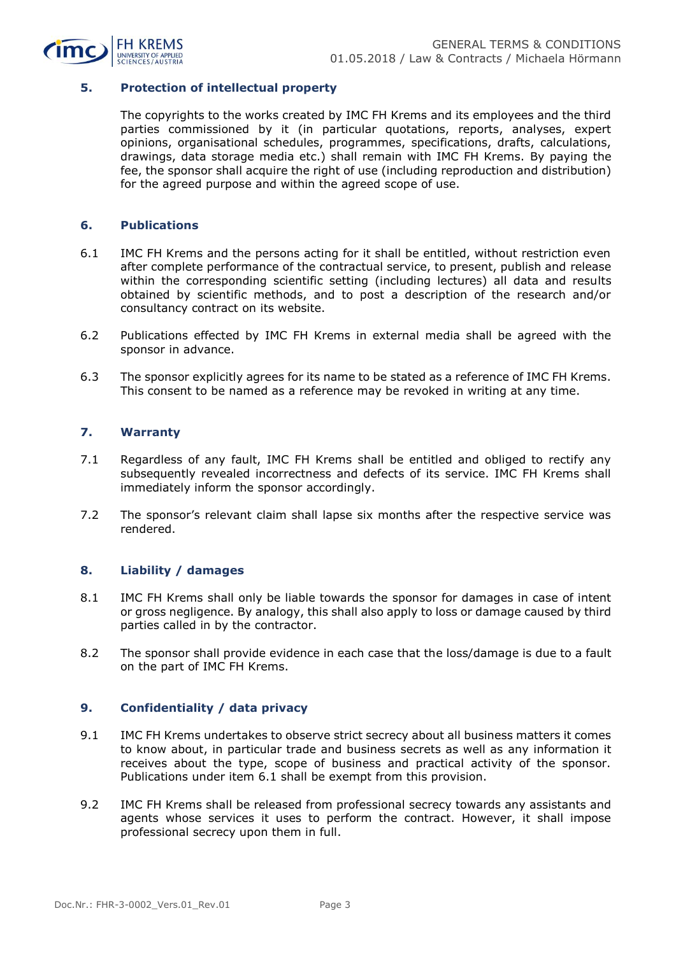

#### **5. Protection of intellectual property**

The copyrights to the works created by IMC FH Krems and its employees and the third parties commissioned by it (in particular quotations, reports, analyses, expert opinions, organisational schedules, programmes, specifications, drafts, calculations, drawings, data storage media etc.) shall remain with IMC FH Krems. By paying the fee, the sponsor shall acquire the right of use (including reproduction and distribution) for the agreed purpose and within the agreed scope of use.

#### **6. Publications**

- 6.1 IMC FH Krems and the persons acting for it shall be entitled, without restriction even after complete performance of the contractual service, to present, publish and release within the corresponding scientific setting (including lectures) all data and results obtained by scientific methods, and to post a description of the research and/or consultancy contract on its website.
- 6.2 Publications effected by IMC FH Krems in external media shall be agreed with the sponsor in advance.
- 6.3 The sponsor explicitly agrees for its name to be stated as a reference of IMC FH Krems. This consent to be named as a reference may be revoked in writing at any time.

## **7. Warranty**

- 7.1 Regardless of any fault, IMC FH Krems shall be entitled and obliged to rectify any subsequently revealed incorrectness and defects of its service. IMC FH Krems shall immediately inform the sponsor accordingly.
- 7.2 The sponsor's relevant claim shall lapse six months after the respective service was rendered.

#### **8. Liability / damages**

- 8.1 IMC FH Krems shall only be liable towards the sponsor for damages in case of intent or gross negligence. By analogy, this shall also apply to loss or damage caused by third parties called in by the contractor.
- 8.2 The sponsor shall provide evidence in each case that the loss/damage is due to a fault on the part of IMC FH Krems.

#### **9. Confidentiality / data privacy**

- 9.1 IMC FH Krems undertakes to observe strict secrecy about all business matters it comes to know about, in particular trade and business secrets as well as any information it receives about the type, scope of business and practical activity of the sponsor. Publications under item 6.1 shall be exempt from this provision.
- 9.2 IMC FH Krems shall be released from professional secrecy towards any assistants and agents whose services it uses to perform the contract. However, it shall impose professional secrecy upon them in full.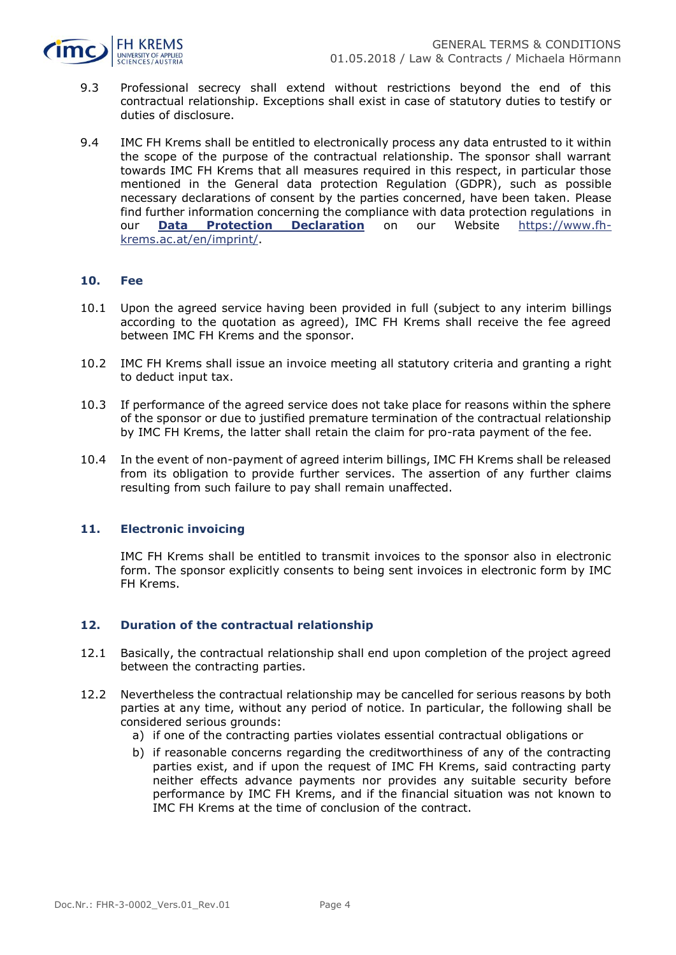

- 9.3 Professional secrecy shall extend without restrictions beyond the end of this contractual relationship. Exceptions shall exist in case of statutory duties to testify or duties of disclosure.
- 9.4 IMC FH Krems shall be entitled to electronically process any data entrusted to it within the scope of the purpose of the contractual relationship. The sponsor shall warrant towards IMC FH Krems that all measures required in this respect, in particular those mentioned in the General data protection Regulation (GDPR), such as possible necessary declarations of consent by the parties concerned, have been taken. Please find further information concerning the compliance with data protection regulations in our **[Data Protection Declaration](https://www.fh-krems.ac.at/fileadmin/downloads/plugin-data-protection.pdf)** on our Website [https://www.fh](https://www.fh-krems.ac.at/en/imprint/)[krems.ac.at/en/imprint/.](https://www.fh-krems.ac.at/en/imprint/)

#### **10. Fee**

- 10.1 Upon the agreed service having been provided in full (subject to any interim billings according to the quotation as agreed), IMC FH Krems shall receive the fee agreed between IMC FH Krems and the sponsor.
- 10.2 IMC FH Krems shall issue an invoice meeting all statutory criteria and granting a right to deduct input tax.
- 10.3 If performance of the agreed service does not take place for reasons within the sphere of the sponsor or due to justified premature termination of the contractual relationship by IMC FH Krems, the latter shall retain the claim for pro-rata payment of the fee.
- 10.4 In the event of non-payment of agreed interim billings, IMC FH Krems shall be released from its obligation to provide further services. The assertion of any further claims resulting from such failure to pay shall remain unaffected.

#### **11. Electronic invoicing**

IMC FH Krems shall be entitled to transmit invoices to the sponsor also in electronic form. The sponsor explicitly consents to being sent invoices in electronic form by IMC FH Krems.

#### **12. Duration of the contractual relationship**

- 12.1 Basically, the contractual relationship shall end upon completion of the project agreed between the contracting parties.
- 12.2 Nevertheless the contractual relationship may be cancelled for serious reasons by both parties at any time, without any period of notice. In particular, the following shall be considered serious grounds:
	- a) if one of the contracting parties violates essential contractual obligations or
	- b) if reasonable concerns regarding the creditworthiness of any of the contracting parties exist, and if upon the request of IMC FH Krems, said contracting party neither effects advance payments nor provides any suitable security before performance by IMC FH Krems, and if the financial situation was not known to IMC FH Krems at the time of conclusion of the contract.